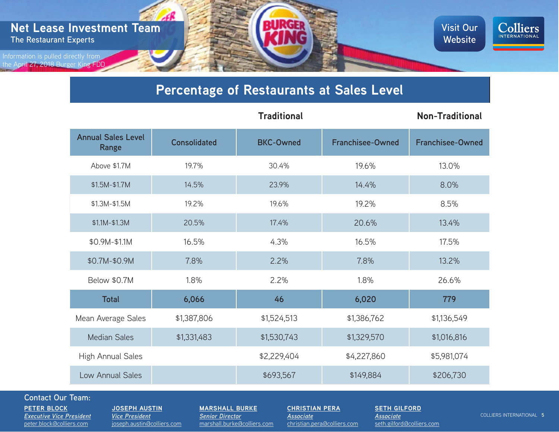

## **Percentage of Restaurants at Sales Level**

|                                    |                     | <b>Traditional</b> |                         | <b>Non-Traditional</b>  |
|------------------------------------|---------------------|--------------------|-------------------------|-------------------------|
| <b>Annual Sales Level</b><br>Range | <b>Consolidated</b> | <b>BKC-Owned</b>   | <b>Franchisee-Owned</b> | <b>Franchisee-Owned</b> |
| Above \$1.7M                       | 19.7%               | 30.4%              | 19.6%                   | 13.0%                   |
| \$1.5M-\$1.7M                      | 14.5%               | 23.9%              | 14.4%                   | 8.0%                    |
| \$1.3M-\$1.5M                      | 19.2%               | 19.6%              | 19.2%                   | 8.5%                    |
| $$1.1M-$1.3M$                      | 20.5%               | 17.4%              | 20.6%                   | 13.4%                   |
| \$0.9M-\$1.1M                      | 16.5%               | 4.3%               | 16.5%                   | 17.5%                   |
| \$0.7M-\$0.9M                      | 7.8%                | 2.2%               | 7.8%                    | 13.2%                   |
| Below \$0.7M                       | 1.8%                | 2.2%               | 1.8%                    | 26.6%                   |
| <b>Total</b>                       | 6,066               | 46                 | 6,020                   | 779                     |
| Mean Average Sales                 | \$1,387,806         | \$1,524,513        | \$1,386,762             | \$1,136,549             |
| <b>Median Sales</b>                | \$1,331,483         | \$1,530,743        | \$1,329,570             | \$1,016,816             |
| High Annual Sales                  |                     | \$2,229,404        | \$4,227,860             | \$5,981,074             |
|                                    |                     | \$693,567          | \$149,884               | \$206,730               |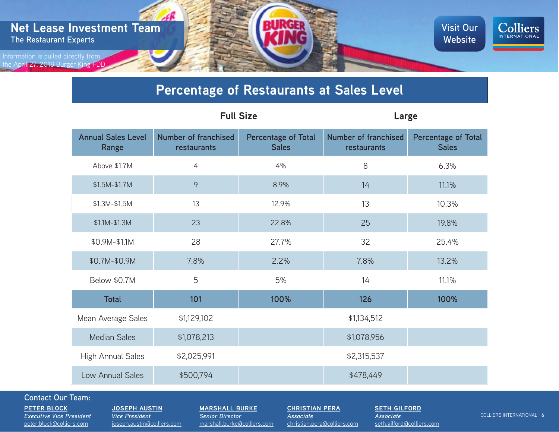

## **Percentage of Restaurants at Sales Level**

|                                    | <b>Full Size</b>                           |                                            | Large                                      |                                            |
|------------------------------------|--------------------------------------------|--------------------------------------------|--------------------------------------------|--------------------------------------------|
| <b>Annual Sales Level</b><br>Range | <b>Number of franchised</b><br>restaurants | <b>Percentage of Total</b><br><b>Sales</b> | <b>Number of franchised</b><br>restaurants | <b>Percentage of Total</b><br><b>Sales</b> |
| Above \$1.7M                       | 4                                          | 4%                                         | 8                                          | 6.3%                                       |
| \$1.5M-\$1.7M                      | $\mathcal{Q}$                              | 8.9%                                       | 14                                         | 11.1%                                      |
| \$1.3M-\$1.5M                      | 13                                         | 12.9%                                      | 13                                         | 10.3%                                      |
| $$1.1M-$1.3M$                      | 23                                         | 22.8%                                      | 25                                         | 19.8%                                      |
| \$0.9M-\$1.1M                      | 28                                         | 27.7%                                      | 32                                         | 25.4%                                      |
| \$0.7M-\$0.9M                      | 7.8%                                       | 2.2%                                       | 7.8%                                       | 13.2%                                      |
| Below \$0.7M                       | 5                                          | 5%                                         | 14                                         | 11.1%                                      |
| <b>Total</b>                       | 101                                        | 100%                                       | 126                                        | 100%                                       |
| Mean Average Sales                 | \$1,129,102                                | \$1,134,512                                |                                            |                                            |
| <b>Median Sales</b>                | \$1,078,213                                |                                            | \$1,078,956                                |                                            |
| High Annual Sales                  | \$2,025,991                                | \$2,315,537                                |                                            |                                            |
|                                    | \$500,794                                  |                                            | \$478,449                                  |                                            |